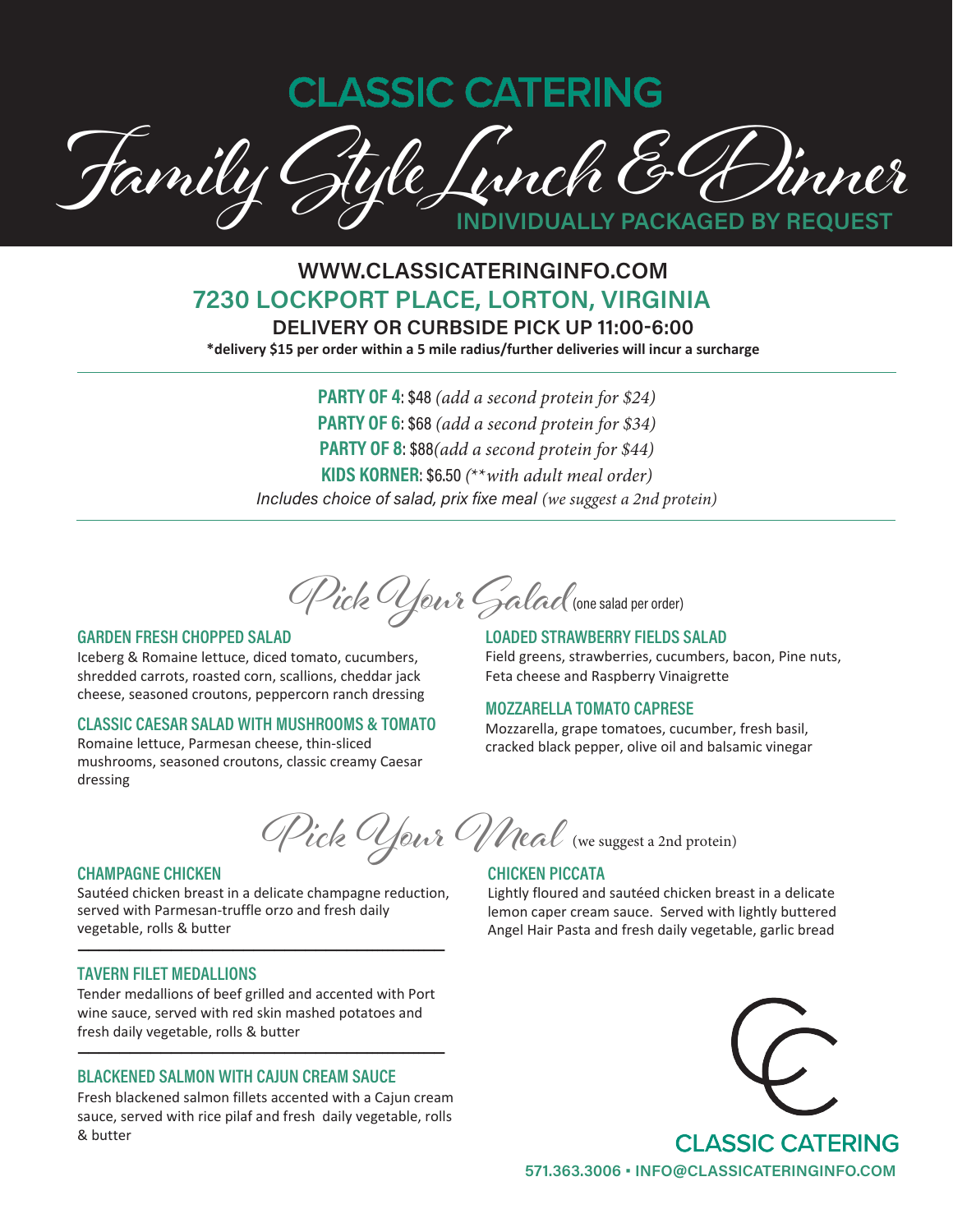

# **WWW.CLASSICATERINGINFO.COM 7230 LOCKPORT PLACE, LORTON, VIRGINIA**

**DELIVERY OR CURBSIDE PICK UP 11:00-6:00**

**\*delivery \$15 per order within a 5 mile radius/further deliveries will incur a surcharge**

**PARTY OF 4**: \$48 *(add a second protein for \$24)* **PARTY OF 6**: \$68 *(add a second protein for \$34)* **PARTY OF 8**: \$88*(add a second protein for \$44)* **KIDS KORNER**: \$6.50 *(*\*\**with adult meal order) Includes choice of salad, prix fixe meal (we suggest a 2nd protein)*

Pick Your Salad(one salad per order)

#### **GARDEN FRESH CHOPPED SALAD**

Iceberg & Romaine lettuce, diced tomato, cucumbers, shredded carrots, roasted corn, scallions, cheddar jack cheese, seasoned croutons, peppercorn ranch dressing

### **CLASSIC CAESAR SALAD WITH MUSHROOMS & TOMATO**

Romaine lettuce, Parmesan cheese, thin-sliced mushrooms, seasoned croutons, classic creamy Caesar dressing

**LOADED STRAWBERRY FIELDS SALAD**

Field greens, strawberries, cucumbers, bacon, Pine nuts, Feta cheese and Raspberry Vinaigrette

### **MOZZARELLA TOMATO CAPRESE**

Mozzarella, grape tomatoes, cucumber, fresh basil, cracked black pepper, olive oil and balsamic vinegar

Lightly floured and sautéed chicken breast in a delicate

lemon caper cream sauce. Served with lightly buttered Angel Hair Pasta and fresh daily vegetable, garlic bread

**CHICKEN PICCATA**  Pick Your Meal (we suggest a 2nd protein)

### **CHAMPAGNE CHICKEN**

Sautéed chicken breast in a delicate champagne reduction, served with Parmesan-truffle orzo and fresh daily vegetable, rolls & butter

**————————————————————————————–––––––––––——**

### **TAVERN FILET MEDALLIONS**

Tender medallions of beef grilled and accented with Port wine sauce, served with red skin mashed potatoes and fresh daily vegetable, rolls & butter

**————————————————————————————–––––––––––——**

### **BLACKENED SALMON WITH CAJUN CREAM SAUCE**

Fresh blackened salmon fillets accented with a Cajun cream sauce, served with rice pilaf and fresh daily vegetable, rolls & butter



**CLASSIC CATERING 571.363.3006 • INFO@CLASSICATERINGINFO.COM**